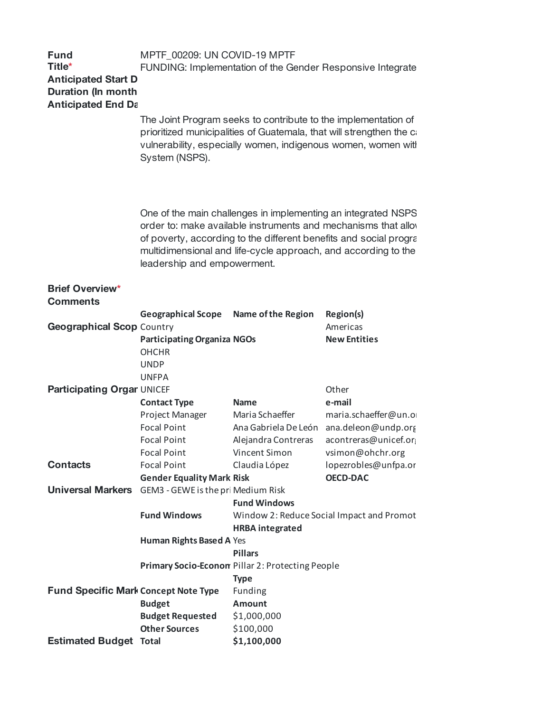| <b>Fund</b><br>Title*<br><b>Anticipated Start D</b><br><b>Duration (In month</b><br><b>Anticipated End Da</b> | MPTF_00209: UN COVID-19 MPTF                                                                                                                                                                                                                                                                          |                           | FUNDING: Implementation of the Gender Responsive Integrate |  |  |
|---------------------------------------------------------------------------------------------------------------|-------------------------------------------------------------------------------------------------------------------------------------------------------------------------------------------------------------------------------------------------------------------------------------------------------|---------------------------|------------------------------------------------------------|--|--|
|                                                                                                               | The Joint Program seeks to contribute to the implementation of<br>prioritized municipalities of Guatemala, that will strengthen the ca<br>vulnerability, especially women, indigenous women, women with<br>System (NSPS).                                                                             |                           |                                                            |  |  |
|                                                                                                               | One of the main challenges in implementing an integrated NSPS<br>order to: make available instruments and mechanisms that allow<br>of poverty, according to the different benefits and social progra<br>multidimensional and life-cycle approach, and according to the<br>leadership and empowerment. |                           |                                                            |  |  |
| <b>Brief Overview*</b><br><b>Comments</b>                                                                     |                                                                                                                                                                                                                                                                                                       |                           |                                                            |  |  |
|                                                                                                               | <b>Geographical Scope</b>                                                                                                                                                                                                                                                                             | <b>Name of the Region</b> | <b>Region(s)</b>                                           |  |  |
| <b>Geographical Scop Country</b>                                                                              |                                                                                                                                                                                                                                                                                                       |                           | Americas                                                   |  |  |
|                                                                                                               | <b>Participating Organiza NGOs</b><br><b>OHCHR</b><br><b>UNDP</b><br><b>UNFPA</b>                                                                                                                                                                                                                     |                           | <b>New Entities</b>                                        |  |  |
| <b>Participating Orgar UNICEF</b>                                                                             |                                                                                                                                                                                                                                                                                                       |                           | Other                                                      |  |  |
|                                                                                                               | <b>Contact Type</b>                                                                                                                                                                                                                                                                                   | <b>Name</b>               | e-mail                                                     |  |  |
|                                                                                                               | Project Manager                                                                                                                                                                                                                                                                                       | Maria Schaeffer           | maria.schaeffer@un.or                                      |  |  |
|                                                                                                               | <b>Focal Point</b>                                                                                                                                                                                                                                                                                    |                           | Ana Gabriela De León ana.deleon@undp.org                   |  |  |
|                                                                                                               | <b>Focal Point</b>                                                                                                                                                                                                                                                                                    | Alejandra Contreras       | acontreras@unicef.or                                       |  |  |
|                                                                                                               | <b>Focal Point</b>                                                                                                                                                                                                                                                                                    | Vincent Simon             | vsimon@ohchr.org                                           |  |  |
| <b>Contacts</b>                                                                                               | <b>Focal Point</b>                                                                                                                                                                                                                                                                                    | Claudia López             | lopezrobles@unfpa.or                                       |  |  |
|                                                                                                               | <b>Gender Equality Mark Risk</b>                                                                                                                                                                                                                                                                      |                           | <b>OECD-DAC</b>                                            |  |  |
| <b>Universal Markers</b>                                                                                      | GEM3 - GEWE is the pri Medium Risk                                                                                                                                                                                                                                                                    |                           |                                                            |  |  |
|                                                                                                               |                                                                                                                                                                                                                                                                                                       | <b>Fund Windows</b>       |                                                            |  |  |
|                                                                                                               | <b>Fund Windows</b>                                                                                                                                                                                                                                                                                   |                           | Window 2: Reduce Social Impact and Promot                  |  |  |
|                                                                                                               |                                                                                                                                                                                                                                                                                                       | <b>HRBA</b> integrated    |                                                            |  |  |
|                                                                                                               | Human Rights Based A Yes                                                                                                                                                                                                                                                                              |                           |                                                            |  |  |
|                                                                                                               | <b>Pillars</b><br>Primary Socio-Econom Pillar 2: Protecting People                                                                                                                                                                                                                                    |                           |                                                            |  |  |
|                                                                                                               |                                                                                                                                                                                                                                                                                                       |                           |                                                            |  |  |
|                                                                                                               |                                                                                                                                                                                                                                                                                                       | <b>Type</b>               |                                                            |  |  |
| <b>Fund Specific Mark Concept Note Type</b>                                                                   |                                                                                                                                                                                                                                                                                                       | <b>Funding</b>            |                                                            |  |  |
|                                                                                                               | <b>Budget</b>                                                                                                                                                                                                                                                                                         | Amount                    |                                                            |  |  |
|                                                                                                               | <b>Budget Requested</b>                                                                                                                                                                                                                                                                               | \$1,000,000               |                                                            |  |  |
|                                                                                                               | <b>Other Sources</b>                                                                                                                                                                                                                                                                                  | \$100,000                 |                                                            |  |  |
| <b>Estimated Budget Total</b>                                                                                 |                                                                                                                                                                                                                                                                                                       | \$1,100,000               |                                                            |  |  |